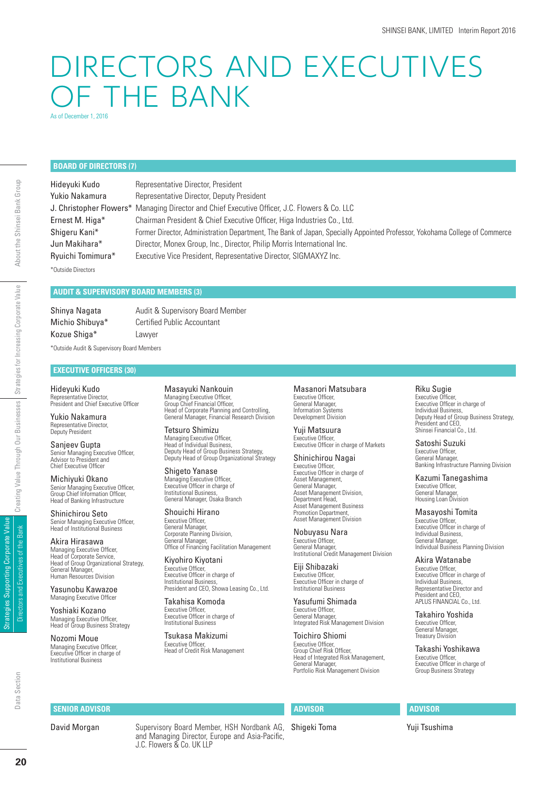# DIRECTORS AND EXECUTIVES OF THE BANK

As of December 1, 2016

# **BOARD OF DIRECTORS (7)**

\*Outside Directors

Hideyuki Kudo Representative Director, President Yukio Nakamura Representative Director, Deputy President J. Christopher Flowers\* Managing Director and Chief Executive Officer, J.C. Flowers & Co. LLC Ernest M. Higa\* Chairman President & Chief Executive Officer, Higa Industries Co., Ltd. Shigeru Kani\* Former Director, Administration Department, The Bank of Japan, Specially Appointed Professor, Yokohama College of Commerce Jun Makihara\* Director, Monex Group, Inc., Director, Philip Morris International Inc. Ryuichi Tomimura\* Executive Vice President, Representative Director, SIGMAXYZ Inc.

# **AUDIT & SUPERVISORY BOARD MEMBERS (3)**

Kozue Shiga\* Lawyer

Shinya Nagata **Audit & Supervisory Board Member** Michio Shibuya<sup>\*</sup> Certified Public Accountant

\*Outside Audit & Supervisory Board Members

# **EXECUTIVE OFFICERS (30)**

Hideyuki Kudo Representative Director, President and Chief Executive Officer

Yukio Nakamura Representative Director, Deputy President Sanjeev Gupta

Senior Managing Executive Officer,<br>Advisor to President and Chief Executive Officer

Michiyuki Okano Senior Managing Executive Officer, Group Chief Information Officer, Head of Banking Infrastructure

Shinichirou Seto Senior Managing Executive Officer,<br>Head of Institutional Business

Akira Hirasawa Managing Executive Officer,<br>Head of Corporate Service, Head of Group Organizational Strategy, General Manager Human Resources Division

Yasunobu Kawazoe Managing Executive Officer

Yoshiaki Kozano Managing Executive Officer. Head of Group Business Strategy

Nozomi Moue Managing Executive Officer,<br>Executive Officer in charge of Institutional Business

Masayuki Nankouin Managing Executive Officer,<br>Group Chief Financial Officer, Head of Corporate Planning and Controlling, General Manager, Financial Research Division

Tetsuro Shimizu Managing Executive Officer,<br>Head of Individual Business, Deputy Head of Group Business Strategy, Deputy Head of Group Organizational Strategy

Shigeto Yanase Managing Executive Officer,<br>Executive Officer in charge of Institutional Business, General Manager, Osaka Branch

Shouichi Hirano Executive Officer, General Manager, Corporate Planning Division, General Manager, Offi ce of Financing Facilitation Management

Kiyohiro Kiyotani Executive Officer, Executive Officer in charge of<br>Institutional Business, President and CEO, Showa Leasing Co., Ltd.

Takahisa Komoda Executive Officer,<br>Executive Officer in charge of Institutional Business

Tsukasa Makizumi Executive Officer, Head of Credit Risk Management

Masanori Matsubara Executive Officer, General Manager, Information Systems Development Division

Yuji Matsuura Executive Officer,<br>Executive Officer in charge of Markets

Shinichirou Nagai Executive Officer. Executive Officer in charge of Asset Management General Manager, Asset Management Division, Department Head, Asset Management Business Promotion Department, Asset Management Division

Nobuyasu Nara Executive Officer,<br>General Manager, Institutional Credit Management Division

Eiji Shibazaki Executive Officer,<br>Executive Officer in charge of Institutional Business

Yasufumi Shimada Executive Officer,<br>General Manager, Integrated Risk Management Division

Toichiro Shiomi Executive Officer, Group Chief Risk Officer,<br>Head of Integrated Risk Management, General Manager, Portfolio Risk Management Division

# **ADVISOR**

Shigeki Toma

## Riku Sugie

Executive Officer, Executive Officer in charge of<br>Individual Business, Deputy Head of Group Business Strategy, President and CEO, Shinsei Financial Co., Ltd.

Satoshi Suzuki Executive Officer, General Manager, Banking Infrastructure Planning Division

Kazumi Tanegashima Executive Officer, General Manager, Housing Loan Division

### Masayoshi Tomita

Executive Officer, Executive Officer in charge of Individual Business, General Manager, Individual Business Planning Division

Akira Watanabe Executive Officer, Executive Officer in charge of<br>Individual Business, Representative Director and President and CEO, APLUS FINANCIAL Co., Ltd.

Takahiro Yoshida Executive Officer,<br>General Manager, Treasury Division

Takashi Yoshikawa Executive Officer, Executive Officer in charge of<br>Group Business Strategy

# **SENIOR ADVISOR**

David Morgan Supervisory Board Member, HSH Nordbank AG, and Managing Director, Europe and Asia-Pacific, J.C. Flowers & Co. UK LLP

Strategies Supporting Corporate Value Directors and Executives of the Bank

Strategies Supporting Corporate Value Directors and Executives of the Bank

Yuji Tsushima

**ADVISOR**

About the Shinsei Bank Group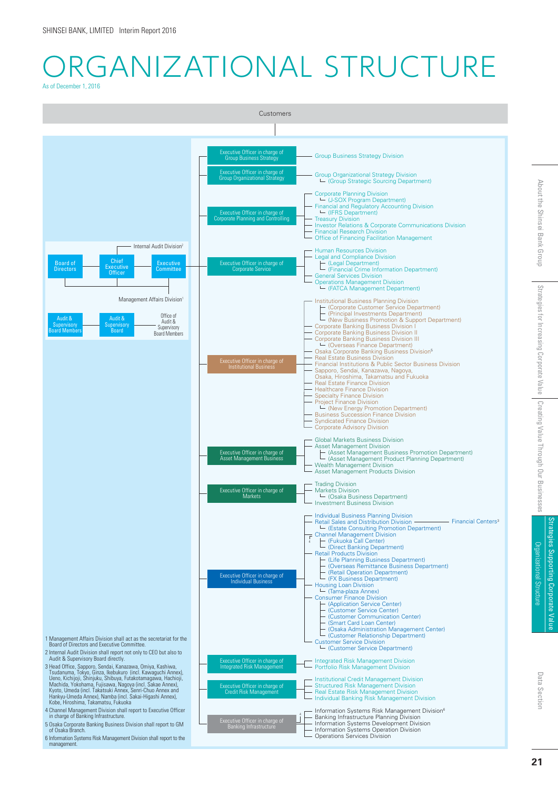# RGANIZATIONAL STRUCTURE As of December 1, 2016



Strategies Supporting Corporate Value

Strategies Supporting Corporate Valu